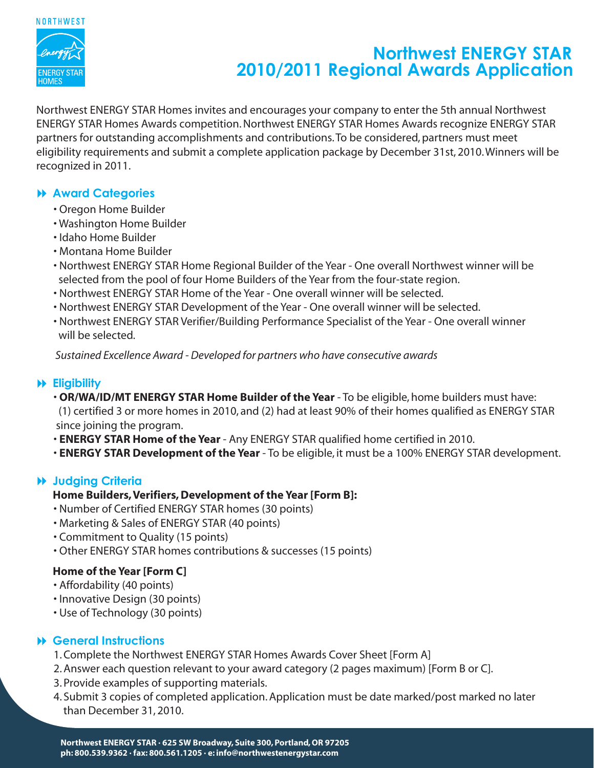

# **Northwest ENERGY STAR 2010/2011 Regional Awards Application**

Northwest ENERGY STAR Homes invites and encourages your company to enter the 5th annual Northwest ENERGY STAR Homes Awards competition. Northwest ENERGY STAR Homes Awards recognize ENERGY STAR partners for outstanding accomplishments and contributions. To be considered, partners must meet eligibility requirements and submit a complete application package by December 31st, 2010. Winners will be recognized in 2011.

# **Award Categories**

- Oregon Home Builder
- Washington Home Builder
- Idaho Home Builder
- Montana Home Builder
- Northwest ENERGY STAR Home Regional Builder of the Year One overall Northwest winner will be selected from the pool of four Home Builders of the Year from the four-state region.
- Northwest ENERGY STAR Home of the Year One overall winner will be selected.
- Northwest ENERGY STAR Development of the Year One overall winner will be selected.
- Northwest ENERGY STAR Verifier/Building Performance Specialist of the Year One overall winner will be selected.

 *Sustained Excellence Award - Developed for partners who have consecutive awards*

#### **Eligibility**

 • **OR/WA/ID/MT ENERGY STAR Home Builder of the Year** - To be eligible, home builders must have: (1) certified 3 or more homes in 2010, and (2) had at least 90% of their homes qualified as ENERGY STAR since joining the program.

• **ENERGY STAR Home of the Year** - Any ENERGY STAR qualified home certified in 2010.

• **ENERGY STAR Development of the Year** - To be eligible, it must be a 100% ENERGY STAR development.

# **Judging Criteria**

# **Home Builders, Verifiers, Development of the Year [Form B]:**

- Number of Certified ENERGY STAR homes (30 points)
- Marketing & Sales of ENERGY STAR (40 points)
- Commitment to Quality (15 points)
- Other ENERGY STAR homes contributions & successes (15 points)

# **Home of the Year [Form C]**

- Affordability (40 points)
- Innovative Design (30 points)
- Use of Technology (30 points)

# **General Instructions**

- 1. Complete the Northwest ENERGY STAR Homes Awards Cover Sheet [Form A]
- 2. Answer each question relevant to your award category (2 pages maximum) [Form B or C].
- 3. Provide examples of supporting materials.
- 4. Submit 3 copies of completed application. Application must be date marked/post marked no later than December 31, 2010.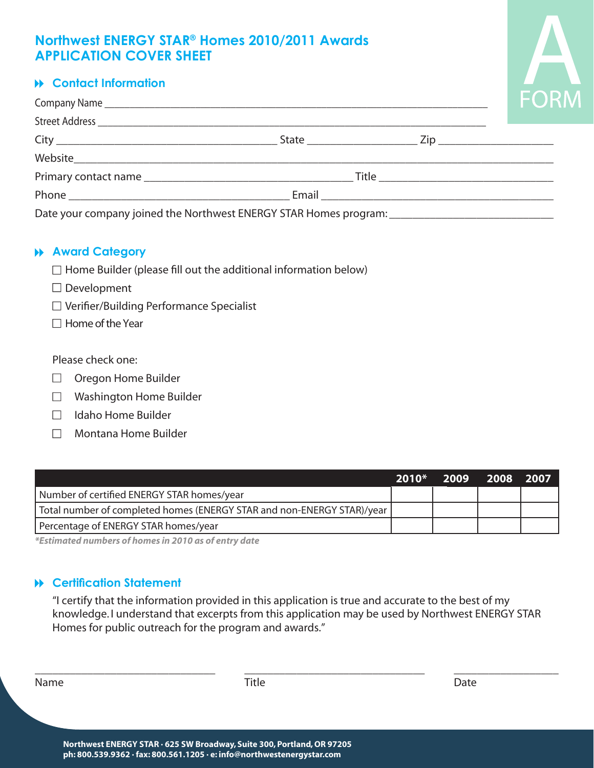# **APPLICATION COVER SHEET Northwest ENERGY STAR® Homes 2010/2011 Awards**



# **Contact Information**

|                                                                                                      |  |  | <b>FUF</b> |
|------------------------------------------------------------------------------------------------------|--|--|------------|
|                                                                                                      |  |  |            |
|                                                                                                      |  |  |            |
|                                                                                                      |  |  |            |
|                                                                                                      |  |  |            |
|                                                                                                      |  |  |            |
| Date your company joined the Northwest ENERGY STAR Homes program: __________________________________ |  |  |            |

#### **Award Category**

- $\Box$  Home Builder (please fill out the additional information below)
- $\square$  Development
- □ Verifier/Building Performance Specialist
- $\Box$  Home of the Year

Please check one:

- $\Box$  Oregon Home Builder
- $\Box$ Washington Home Builder
- Idaho Home Builder  $\Box$
- Montana Home Builder

|                                                                        | $2010*$ | 2009 2008 2007 |  |
|------------------------------------------------------------------------|---------|----------------|--|
| Number of certified ENERGY STAR homes/year                             |         |                |  |
| Total number of completed homes (ENERGY STAR and non-ENERGY STAR)/year |         |                |  |
| Percentage of ENERGY STAR homes/year                                   |         |                |  |

*\*Estimated numbers of homes in 2010 as of entry date*

#### **Certification Statement**

"I certify that the information provided in this application is true and accurate to the best of my knowledge. I understand that excerpts from this application may be used by Northwest ENERGY STAR Homes for public outreach for the program and awards."

\_\_\_\_\_\_\_\_\_\_\_\_\_\_\_\_\_\_\_\_\_\_\_\_\_\_\_\_\_\_\_ \_\_\_\_\_\_\_\_\_\_\_\_\_\_\_\_\_\_\_\_\_\_\_\_\_\_\_\_\_\_\_ \_\_\_\_\_\_\_\_\_\_\_\_\_\_\_\_\_\_

 $\overline{a}$ 

| × | ×<br>۰. |
|---|---------|
|---|---------|

 $\overline{a}$ 

**Title**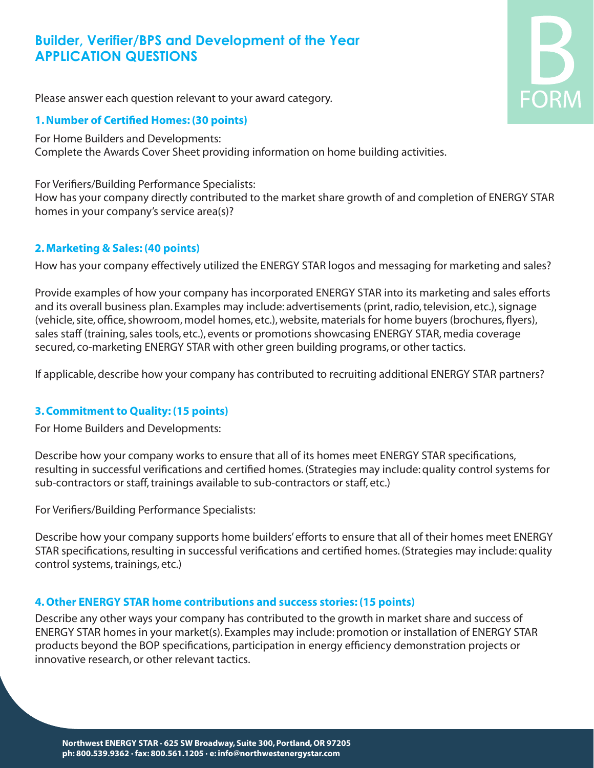# **Builder, Verifier/BPS and Development of the Year APPLICATION QUESTIONS**



Please answer each question relevant to your award category.

#### **1.Number of Certified Homes: (30 points)**

For Home Builders and Developments: Complete the Awards Cover Sheet providing information on home building activities.

For Verifiers/Building Performance Specialists: How has your company directly contributed to the market share growth of and completion of ENERGY STAR homes in your company's service area(s)?

#### **2. Marketing & Sales: (40 points)**

How has your company effectively utilized the ENERGY STAR logos and messaging for marketing and sales?

Provide examples of how your company has incorporated ENERGY STAR into its marketing and sales efforts and its overall business plan. Examples may include: advertisements (print, radio, television, etc.), signage (vehicle, site, office, showroom, model homes, etc.), website, materials for home buyers (brochures, flyers), sales staff (training, sales tools, etc.), events or promotions showcasing ENERGY STAR, media coverage secured, co-marketing ENERGY STAR with other green building programs, or other tactics.

If applicable, describe how your company has contributed to recruiting additional ENERGY STAR partners?

#### **3.Commitment to Quality: (15 points)**

For Home Builders and Developments:

Describe how your company works to ensure that all of its homes meet ENERGY STAR specifications, resulting in successful verifications and certified homes. (Strategies may include: quality control systems for sub-contractors or staff, trainings available to sub-contractors or staff, etc.)

For Verifiers/Building Performance Specialists:

Describe how your company supports home builders' efforts to ensure that all of their homes meet ENERGY STAR specifications, resulting in successful verifications and certified homes. (Strategies may include: quality control systems, trainings, etc.)

#### **4.Other ENERGY STAR home contributions and success stories: (15 points)**

Describe any other ways your company has contributed to the growth in market share and success of ENERGY STAR homes in your market(s). Examples may include: promotion or installation of ENERGY STAR products beyond the BOP specifications, participation in energy efficiency demonstration projects or innovative research, or other relevant tactics.